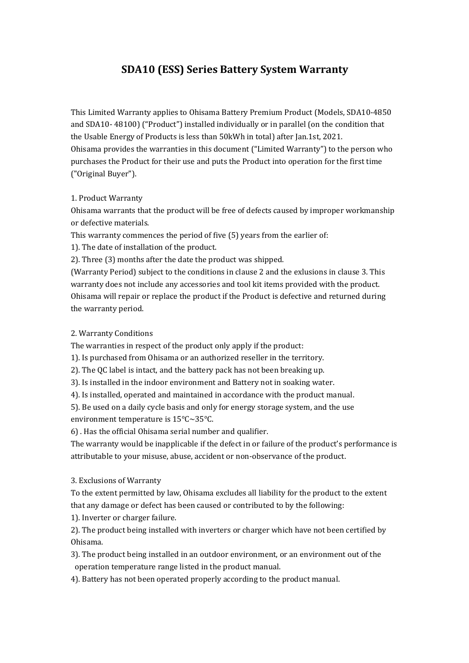# **SDA10 (ESS) Series Battery System Warranty**

This Limited Warranty applies to Ohisama Battery Premium Product (Models, SDA10-4850 and SDA10- 48100) ("Product") installed individually or in parallel (on the condition that the Usable Energy of Products is less than 50kWh in total) after Jan.1st, 2021. Ohisama provides the warranties in this document ("Limited Warranty") to the person who purchases the Product for their use and puts the Product into operation for the first time ("Original Buyer").

## 1. Product Warranty

Ohisama warrants that the product will be free of defects caused by improper workmanship or defective materials.

This warranty commences the period of five (5) years from the earlier of:

1). The date of installation of the product.

2). Three (3) months after the date the product was shipped.

(Warranty Period) subject to the conditions in clause 2 and the exlusions in clause 3. This warranty does not include any accessories and tool kit items provided with the product. Ohisama will repair or replace the product if the Product is defective and returned during the warranty period.

## 2. Warranty Conditions

The warranties in respect of the product only apply if the product:

1). Is purchased from Ohisama or an authorized reseller in the territory.

2). The QC label is intact, and the battery pack has not been breaking up.

3). Is installed in the indoor environment and Battery not in soaking water.

4). Is installed, operated and maintained in accordance with the product manual.

5). Be used on a daily cycle basis and only for energy storage system, and the use environment temperature is 15℃~35℃.

6) . Has the official Ohisama serial number and qualifier.

The warranty would be inapplicable if the defect in or failure of the product's performance is attributable to your misuse, abuse, accident or non-observance of the product.

## 3. Exclusions of Warranty

To the extent permitted by law, Ohisama excludes all liability for the product to the extent that any damage or defect has been caused or contributed to by the following:

1). Inverter or charger failure.

2). The product being installed with inverters or charger which have not been certified by Ohisama.

3). The product being installed in an outdoor environment, or an environment out of the operation temperature range listed in the product manual.

4). Battery has not been operated properly according to the product manual.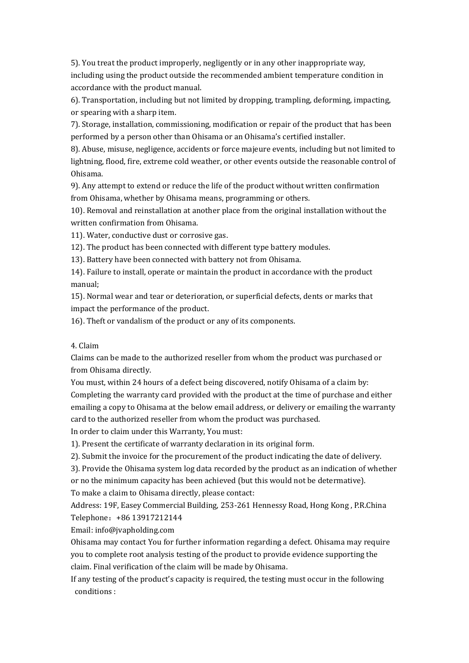5). You treat the product improperly, negligently or in any other inappropriate way, including using the product outside the recommended ambient temperature condition in accordance with the product manual.

6). Transportation, including but not limited by dropping, trampling, deforming, impacting, or spearing with a sharp item.

7). Storage, installation, commissioning, modification or repair of the product that has been performed by a person other than Ohisama or an Ohisama's certified installer.

8). Abuse, misuse, negligence, accidents or force majeure events, including but not limited to lightning, flood, fire, extreme cold weather, or other events outside the reasonable control of Ohisama.

9). Any attempt to extend or reduce the life of the product without written confirmation from Ohisama, whether by Ohisama means, programming or others.

10). Removal and reinstallation at another place from the original installation without the written confirmation from Ohisama.

11). Water, conductive dust or corrosive gas.

12). The product has been connected with different type battery modules.

13). Battery have been connected with battery not from Ohisama.

14). Failure to install, operate or maintain the product in accordance with the product manual;

15). Normal wear and tear or deterioration, or superficial defects, dents or marks that impact the performance of the product.

16). Theft or vandalism of the product or any of its components.

### 4. Claim

Claims can be made to the authorized reseller from whom the product was purchased or from Ohisama directly.

You must, within 24 hours of a defect being discovered, notify Ohisama of a claim by: Completing the warranty card provided with the product at the time of purchase and either emailing a copy to Ohisama at the below email address, or delivery or emailing the warranty card to the authorized reseller from whom the product was purchased.

In order to claim under this Warranty, You must:

1). Present the certificate of warranty declaration in its original form.

2). Submit the invoice for the procurement of the product indicating the date of delivery.

3). Provide the Ohisama system log data recorded by the product as an indication of whether or no the minimum capacity has been achieved (but this would not be determative). To make a claim to Ohisama directly, please contact:

Address: 19F, Easey Commercial Building, 253-261 Hennessy Road, Hong Kong , P.R.China Telephone:+86 13917212144

Email: info@jvapholding.com

Ohisama may contact You for further information regarding a defect. Ohisama may require you to complete root analysis testing of the product to provide evidence supporting the claim. Final verification of the claim will be made by Ohisama.

If any testing of the product's capacity is required, the testing must occur in the following conditions :